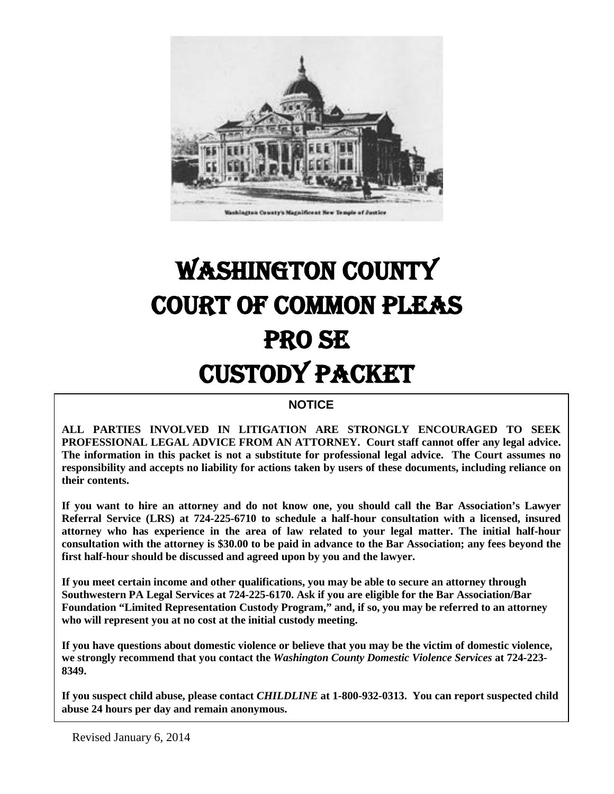

# WASHINGTON COUNTY COURT OF COMMON PLEAS PRO SE CUSTODY PACKET

#### **NOTICE**

**ALL PARTIES INVOLVED IN LITIGATION ARE STRONGLY ENCOURAGED TO SEEK PROFESSIONAL LEGAL ADVICE FROM AN ATTORNEY. Court staff cannot offer any legal advice. The information in this packet is not a substitute for professional legal advice. The Court assumes no responsibility and accepts no liability for actions taken by users of these documents, including reliance on their contents.**

**If you want to hire an attorney and do not know one, you should call the Bar Association's Lawyer Referral Service (LRS) at 724-225-6710 to schedule a half-hour consultation with a licensed, insured attorney who has experience in the area of law related to your legal matter. The initial half-hour consultation with the attorney is \$30.00 to be paid in advance to the Bar Association; any fees beyond the first half-hour should be discussed and agreed upon by you and the lawyer.**

**If you meet certain income and other qualifications, you may be able to secure an attorney through Southwestern PA Legal Services at 724-225-6170. Ask if you are eligible for the Bar Association/Bar Foundation "Limited Representation Custody Program," and, if so, you may be referred to an attorney who will represent you at no cost at the initial custody meeting.**

**If you have questions about domestic violence or believe that you may be the victim of domestic violence, we strongly recommend that you contact the** *Washington County Domestic Violence Services* **at 724-223- 8349.**

**If you suspect child abuse, please contact** *CHILDLINE* **at 1-800-932-0313. You can report suspected child abuse 24 hours per day and remain anonymous.**